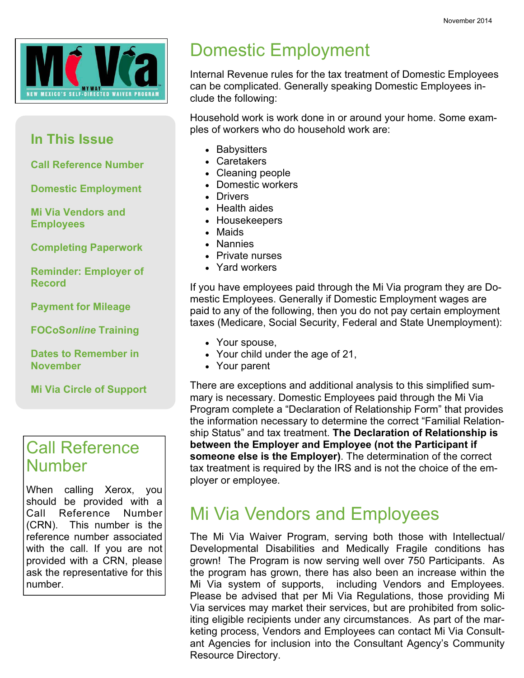

#### In This Issue

Call Reference Number

Domestic Employment

Mi Via Vendors and **Employees** 

Completing Paperwork

Reminder: Employer of Record

Payment for Mileage

FOCoSonline Training

Dates to Remember in November

Mi Via Circle of Support

#### Call Reference Number

When calling Xerox, you should be provided with a Call Reference Number (CRN). This number is the reference number associated with the call. If you are not provided with a CRN, please ask the representative for this number.

## Domestic Employment

Internal Revenue rules for the tax treatment of Domestic Employees can be complicated. Generally speaking Domestic Employees include the following:

Household work is work done in or around your home. Some examples of workers who do household work are:

- Babysitters
- Caretakers
- Cleaning people
- Domestic workers
- Drivers
- Health aides
- Housekeepers
- Maids
- Nannies
- Private nurses
- Yard workers

If you have employees paid through the Mi Via program they are Domestic Employees. Generally if Domestic Employment wages are paid to any of the following, then you do not pay certain employment taxes (Medicare, Social Security, Federal and State Unemployment):

- Your spouse,
- Your child under the age of 21,
- Your parent

There are exceptions and additional analysis to this simplified summary is necessary. Domestic Employees paid through the Mi Via Program complete a "Declaration of Relationship Form" that provides the information necessary to determine the correct "Familial Relationship Status" and tax treatment. The Declaration of Relationship is between the Employer and Employee (not the Participant if someone else is the Employer). The determination of the correct tax treatment is required by the IRS and is not the choice of the employer or employee.

#### Mi Via Vendors and Employees

The Mi Via Waiver Program, serving both those with Intellectual/ Developmental Disabilities and Medically Fragile conditions has grown! The Program is now serving well over 750 Participants. As the program has grown, there has also been an increase within the Mi Via system of supports, including Vendors and Employees. Please be advised that per Mi Via Regulations, those providing Mi Via services may market their services, but are prohibited from soliciting eligible recipients under any circumstances. As part of the marketing process, Vendors and Employees can contact Mi Via Consultant Agencies for inclusion into the Consultant Agency's Community Resource Directory.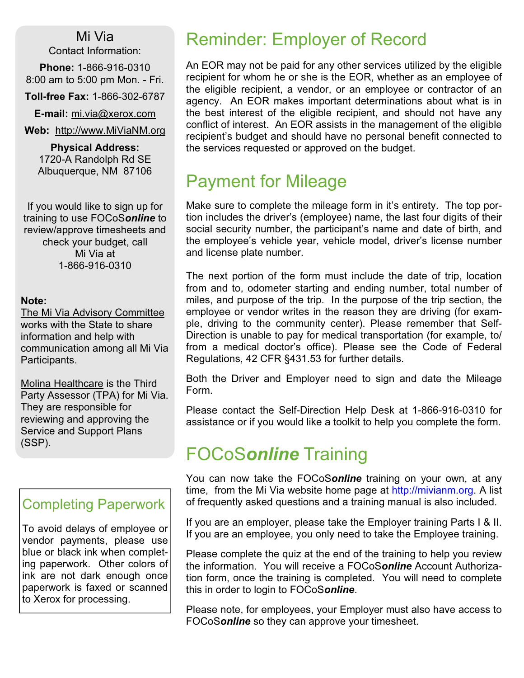Mi Via Contact Information:

Phone: 1-866-916-0310 8:00 am to 5:00 pm Mon. - Fri.

Toll-free Fax: 1-866-302-6787

E-mail: mi.via@xerox.com

Web: http://www.MiViaNM.org

Physical Address: 1720-A Randolph Rd SE Albuquerque, NM 87106

If you would like to sign up for training to use FOCoSonline to review/approve timesheets and check your budget, call Mi Via at 1-866-916-0310

#### Note:

The Mi Via Advisory Committee works with the State to share information and help with communication among all Mi Via Participants.

Molina Healthcare is the Third Party Assessor (TPA) for Mi Via. They are responsible for reviewing and approving the Service and Support Plans (SSP).

#### Completing Paperwork

To avoid delays of employee or vendor payments, please use blue or black ink when completing paperwork. Other colors of ink are not dark enough once paperwork is faxed or scanned to Xerox for processing.

#### Reminder: Employer of Record

An EOR may not be paid for any other services utilized by the eligible recipient for whom he or she is the EOR, whether as an employee of the eligible recipient, a vendor, or an employee or contractor of an agency. An EOR makes important determinations about what is in the best interest of the eligible recipient, and should not have any conflict of interest. An EOR assists in the management of the eligible recipient's budget and should have no personal benefit connected to the services requested or approved on the budget.

#### Payment for Mileage

Make sure to complete the mileage form in it's entirety. The top portion includes the driver's (employee) name, the last four digits of their social security number, the participant's name and date of birth, and the employee's vehicle year, vehicle model, driver's license number and license plate number.

The next portion of the form must include the date of trip, location from and to, odometer starting and ending number, total number of miles, and purpose of the trip. In the purpose of the trip section, the employee or vendor writes in the reason they are driving (for example, driving to the community center). Please remember that Self-Direction is unable to pay for medical transportation (for example, to/ from a medical doctor's office). Please see the Code of Federal Regulations, 42 CFR §431.53 for further details.

Both the Driver and Employer need to sign and date the Mileage Form.

Please contact the Self-Direction Help Desk at 1-866-916-0310 for assistance or if you would like a toolkit to help you complete the form.

#### FOCoSonline Training

You can now take the FOCoSonline training on your own, at any time, from the Mi Via website home page at http://mivianm.org. A list of frequently asked questions and a training manual is also included.

If you are an employer, please take the Employer training Parts I & II. If you are an employee, you only need to take the Employee training.

Please complete the quiz at the end of the training to help you review the information. You will receive a FOCoSonline Account Authorization form, once the training is completed. You will need to complete this in order to login to FOCoSonline.

Please note, for employees, your Employer must also have access to FOCoSonline so they can approve your timesheet.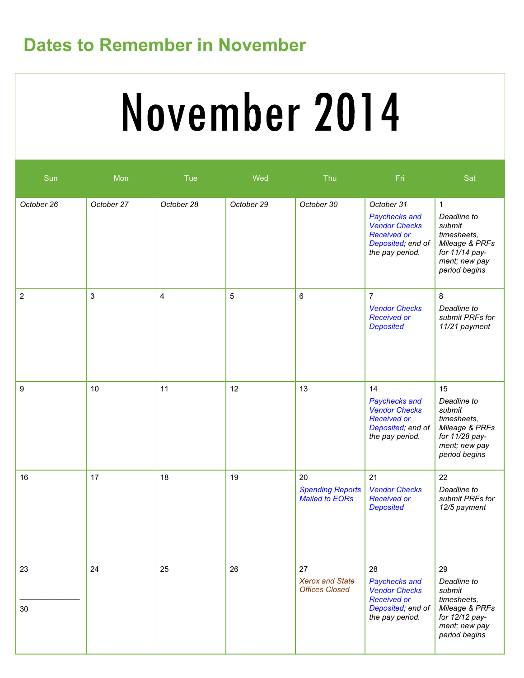## Dates to Remember in November

# November 2014

| Sun              | Mon        | Tue        | Wed        | Thu                                                    | Fri                                                                                                               | Sat                                                                                                                       |
|------------------|------------|------------|------------|--------------------------------------------------------|-------------------------------------------------------------------------------------------------------------------|---------------------------------------------------------------------------------------------------------------------------|
| October 26       | October 27 | October 28 | October 29 | October 30                                             | October 31<br>Paychecks and<br><b>Vendor Checks</b><br><b>Received or</b><br>Deposited; end of<br>the pay period. | $\mathbf 1$<br>Deadline to<br>submit<br>timesheets,<br>Mileage & PRFs<br>for 11/14 pay-<br>ment; new pay<br>period begins |
| $\overline{c}$   | 3          | 4          | 5          | 6                                                      | $\overline{7}$<br><b>Vendor Checks</b><br><b>Received or</b><br><b>Deposited</b>                                  | 8<br>Deadline to<br>submit PRFs for<br>11/21 payment                                                                      |
| $\boldsymbol{9}$ | 10         | 11         | 12         | 13                                                     | 14<br>Paychecks and<br><b>Vendor Checks</b><br><b>Received or</b><br>Deposited; end of<br>the pay period.         | 15<br>Deadline to<br>submit<br>timesheets,<br>Mileage & PRFs<br>for 11/28 pay-<br>ment; new pay<br>period begins          |
| 16               | 17         | 18         | 19         | 20<br><b>Spending Reports</b><br><b>Mailed to EORs</b> | 21<br><b>Vendor Checks</b><br><b>Received or</b><br><b>Deposited</b>                                              | 22<br>Deadline to<br>submit PRFs for<br>12/5 payment                                                                      |
| 23<br>30         | 24         | 25         | 26         | 27<br><b>Xerox and State</b><br><b>Offices Closed</b>  | 28<br>Paychecks and<br><b>Vendor Checks</b><br><b>Received or</b><br>Deposited; end of<br>the pay period.         | 29<br>Deadline to<br>submit<br>timesheets,<br>Mileage & PRFs<br>for 12/12 pay-<br>ment; new pay<br>period begins          |